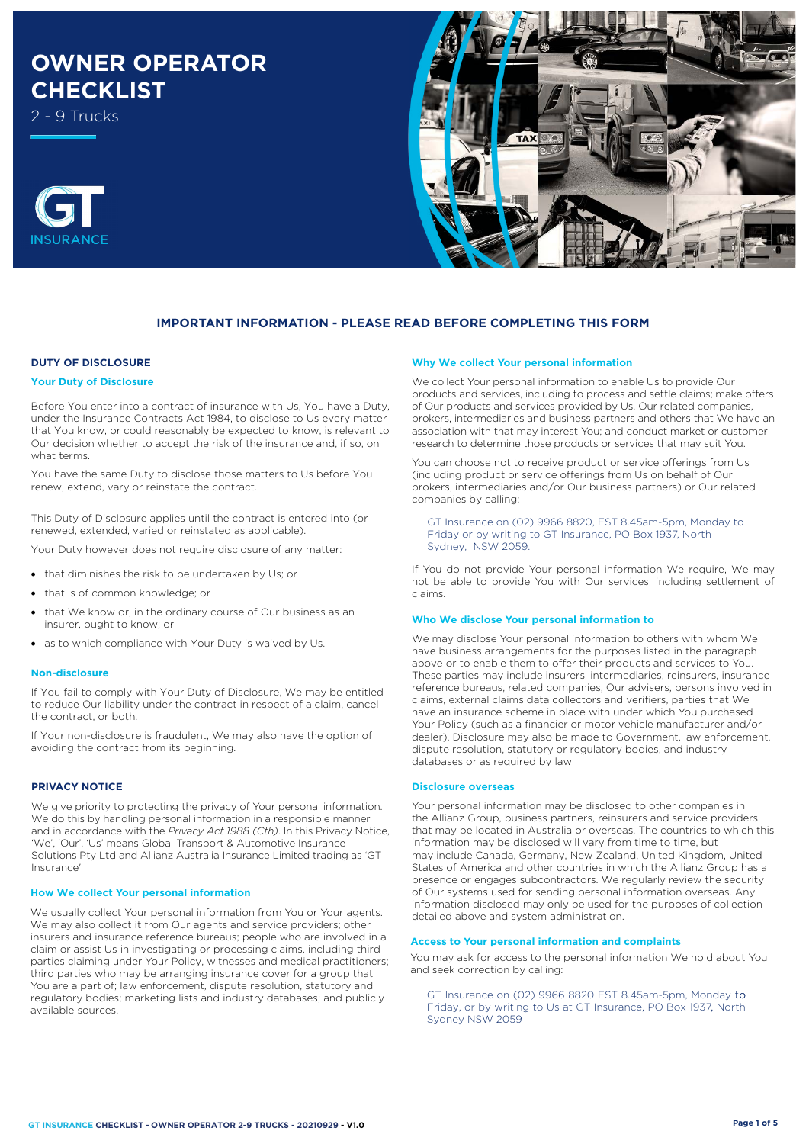# **OWNER OPERATOR CHECKLIST**

2 - 9 Trucks





# **IMPORTANT INFORMATION - PLEASE READ BEFORE COMPLETING THIS FORM**

# **DUTY OF DISCLOSURE**

## **Your Duty of Disclosure**

Before You enter into a contract of insurance with Us, You have a Duty, under the Insurance Contracts Act 1984, to disclose to Us every matter that You know, or could reasonably be expected to know, is relevant to Our decision whether to accept the risk of the insurance and, if so, on what terms.

You have the same Duty to disclose those matters to Us before You renew, extend, vary or reinstate the contract.

This Duty of Disclosure applies until the contract is entered into (or renewed, extended, varied or reinstated as applicable).

Your Duty however does not require disclosure of any matter:

- that diminishes the risk to be undertaken by Us; or
- that is of common knowledge; or
- that We know or, in the ordinary course of Our business as an insurer, ought to know; or
- as to which compliance with Your Duty is waived by Us.

#### **Non-disclosure**

If You fail to comply with Your Duty of Disclosure, We may be entitled to reduce Our liability under the contract in respect of a claim, cancel the contract, or both.

If Your non-disclosure is fraudulent, We may also have the option of avoiding the contract from its beginning.

# **PRIVACY NOTICE**

We give priority to protecting the privacy of Your personal information. We do this by handling personal information in a responsible manner and in accordance with the *Privacy Act 1988 (Cth)*. In this Privacy Notice, 'We', 'Our', 'Us' means Global Transport & Automotive Insurance Solutions Pty Ltd and Allianz Australia Insurance Limited trading as 'GT Insurance'.

#### **How We collect Your personal information**

We usually collect Your personal information from You or Your agents. We may also collect it from Our agents and service providers; other insurers and insurance reference bureaus; people who are involved in a claim or assist Us in investigating or processing claims, including third parties claiming under Your Policy, witnesses and medical practitioners; third parties who may be arranging insurance cover for a group that You are a part of; law enforcement, dispute resolution, statutory and regulatory bodies; marketing lists and industry databases; and publicly available sources.

#### **Why We collect Your personal information**

We collect Your personal information to enable Us to provide Our products and services, including to process and settle claims; make offers of Our products and services provided by Us, Our related companies, brokers, intermediaries and business partners and others that We have an association with that may interest You; and conduct market or customer research to determine those products or services that may suit You.

You can choose not to receive product or service offerings from Us (including product or service offerings from Us on behalf of Our brokers, intermediaries and/or Our business partners) or Our related companies by calling:

GT Insurance on (02) 9966 8820, EST 8.45am-5pm, Monday to Friday or by writing to GT Insurance, PO Box 1937, North Sydney, NSW 2059.

If You do not provide Your personal information We require, We may not be able to provide You with Our services, including settlement of claims.

#### **Who We disclose Your personal information to**

We may disclose Your personal information to others with whom We have business arrangements for the purposes listed in the paragraph above or to enable them to offer their products and services to You. These parties may include insurers, intermediaries, reinsurers, insurance reference bureaus, related companies, Our advisers, persons involved in claims, external claims data collectors and verifiers, parties that We have an insurance scheme in place with under which You purchased Your Policy (such as a financier or motor vehicle manufacturer and/or dealer). Disclosure may also be made to Government, law enforcement, dispute resolution, statutory or regulatory bodies, and industry databases or as required by law.

#### **Disclosure overseas**

Your personal information may be disclosed to other companies in the Allianz Group, business partners, reinsurers and service providers that may be located in Australia or overseas. The countries to which this information may be disclosed will vary from time to time, but may include Canada, Germany, New Zealand, United Kingdom, United States of America and other countries in which the Allianz Group has a presence or engages subcontractors. We regularly review the security of Our systems used for sending personal information overseas. Any information disclosed may only be used for the purposes of collection detailed above and system administration.

# **Access to Your personal information and complaints**

You may ask for access to the personal information We hold about You and seek correction by calling:

, Friday, or by writing to Us at GT Insurance, PO Box 1937, North GT Insurance on (02) 9966 8820 EST 8.45am-5pm, Monday to Sydney NSW 2059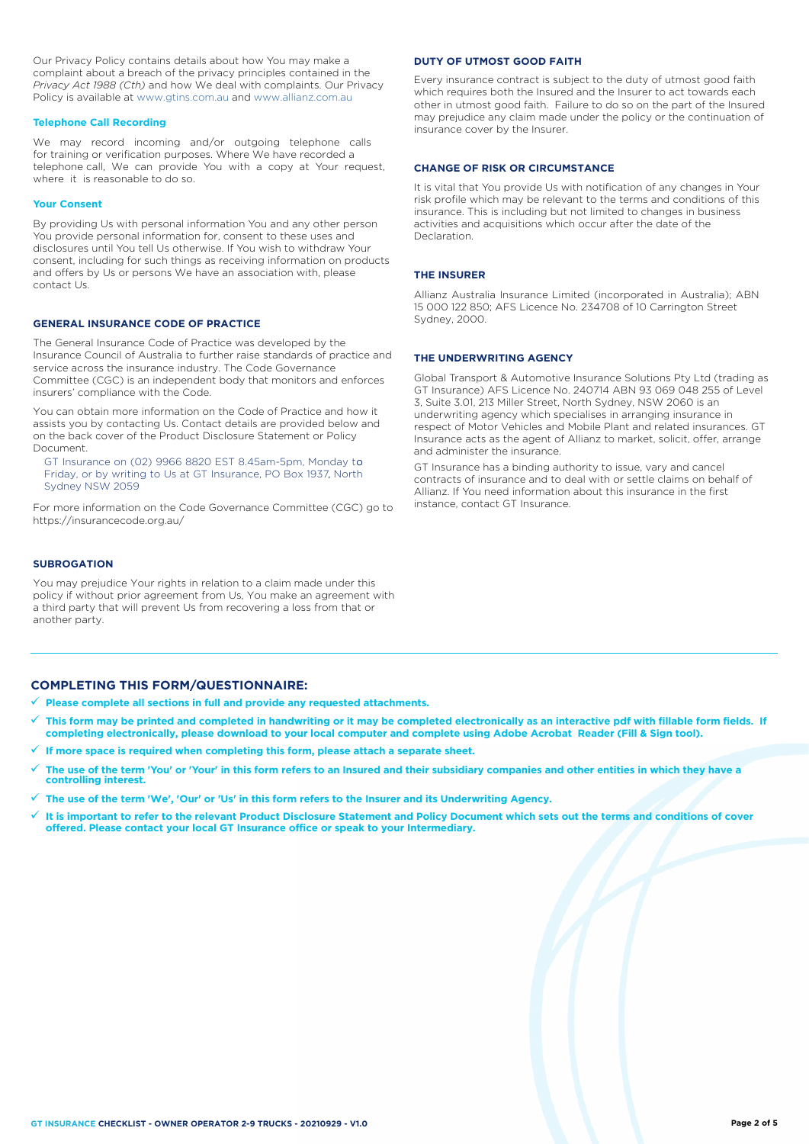Our Privacy Policy contains details about how You may make a complaint about a breach of the privacy principles contained in the *Privacy Act 1988 (Cth)* and how We deal with complaints. Our Privacy Policy is available at [www.gtins.com.au](https://www.gtins.com.au/documents-and-policies/) and [www.allianz.com.au](https://www.allianz.com.au/about-us/privacy/)

### **Telephone Call Recording**

We may record incoming and/or outgoing telephone calls for training or verification purposes. Where We have recorded a telephone call, We can provide You with a copy at Your request, where it is reasonable to do so.

#### **Your Consent**

By providing Us with personal information You and any other person You provide personal information for, consent to these uses and disclosures until You tell Us otherwise. If You wish to withdraw Your consent, including for such things as receiving information on products and offers by Us or persons We have an association with, please contact Us.

# **GENERAL INSURANCE CODE OF PRACTICE**

The General Insurance Code of Practice was developed by the Insurance Council of Australia to further raise standards of practice and service across the insurance industry. The Code Governance Committee (CGC) is an independent body that monitors and enforces insurers' compliance with the Code.

You can obtain more information on the Code of Practice and how it assists you by contacting Us. Contact details are provided below and on the back cover of the Product Disclosure Statement or Policy Document.

, Friday, or by writing to Us at GT Insurance, PO Box 1937, North GT Insurance on (02) 9966 8820 EST 8.45am-5pm, Monday to Sydney NSW 2059

For more information on the Code Governance Committee (CGC) go to <https://insurancecode.org.au/>

# **SUBROGATION**

You may prejudice Your rights in relation to a claim made under this policy if without prior agreement from Us, You make an agreement with a third party that will prevent Us from recovering a loss from that or another party.

### **DUTY OF UTMOST GOOD FAITH**

Every insurance contract is subject to the duty of utmost good faith which requires both the Insured and the Insurer to act towards each other in utmost good faith. Failure to do so on the part of the Insured may prejudice any claim made under the policy or the continuation of insurance cover by the Insurer.

#### **CHANGE OF RISK OR CIRCUMSTANCE**

It is vital that You provide Us with notification of any changes in Your risk profile which may be relevant to the terms and conditions of this insurance. This is including but not limited to changes in business activities and acquisitions which occur after the date of the Declaration.

#### **THE INSURER**

Allianz Australia Insurance Limited (incorporated in Australia); ABN 15 000 122 850; AFS Licence No. 234708 of 10 Carrington Street Sydney, 2000.

# **THE UNDERWRITING AGENCY**

Global Transport & Automotive Insurance Solutions Pty Ltd (trading as GT Insurance) AFS Licence No. 240714 ABN 93 069 048 255 of Level 3, Suite 3.01, 213 Miller Street, North Sydney, NSW 2060 is an underwriting agency which specialises in arranging insurance in respect of Motor Vehicles and Mobile Plant and related insurances. GT Insurance acts as the agent of Allianz to market, solicit, offer, arrange and administer the insurance.

GT Insurance has a binding authority to issue, vary and cancel contracts of insurance and to deal with or settle claims on behalf of Allianz. If You need information about this insurance in the first instance, contact GT Insurance.

# **COMPLETING THIS FORM/QUESTIONNAIRE:**

- **Please complete all sections in full and provide any requested attachments.**
- **This form may be printed and completed in handwriting or it may be completed electronically as an interactive pdf with fillable form fields. If completing electronically, please download to your local computer and complete using Adobe Acrobat Reader (Fill & Sign tool).**
- **If more space is required when completing this form, please attach a separate sheet.**
- **The use of the term 'You' or 'Your' in this form refers to an Insured and their subsidiary companies and other entities in which they have a controlling interest.**
- **The use of the term 'We', 'Our' or 'Us' in this form refers to the Insurer and its Underwriting Agency.**
- **It is important to refer to the relevant Product Disclosure Statement and Policy Document which sets out the terms and conditions of cover offered. Please contact your local GT Insurance office or speak to your Intermediary.**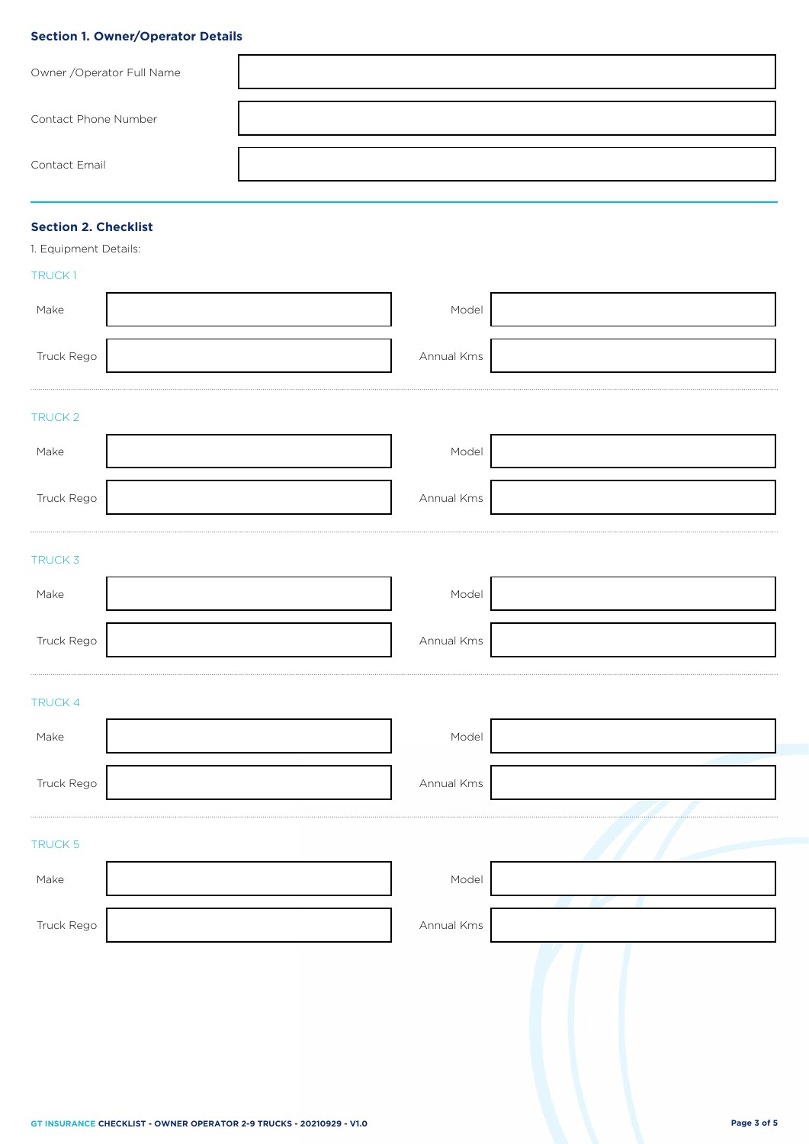# **Section 1. Owner/Operator Details**

| Owner / Operator Full Name |  |
|----------------------------|--|
| Contact Phone Number       |  |
| Contact Email              |  |

# **Section 2. Checklist**

1. Equipment Details:

# TRUCK 1

| Make       | Model      |  |
|------------|------------|--|
| Truck Rego | Annual Kms |  |
| TRUCK 2    |            |  |
| Make       | Model      |  |
| Truck Rego | Annual Kms |  |
| TRUCK 3    |            |  |
| Make       | Model      |  |
| Truck Rego | Annual Kms |  |
| TRUCK 4    |            |  |
| Make       | Model      |  |
| Truck Rego | Annual Kms |  |
| TRUCK 5    |            |  |
| Make       | Model      |  |
| Truck Rego | Annual Kms |  |
|            |            |  |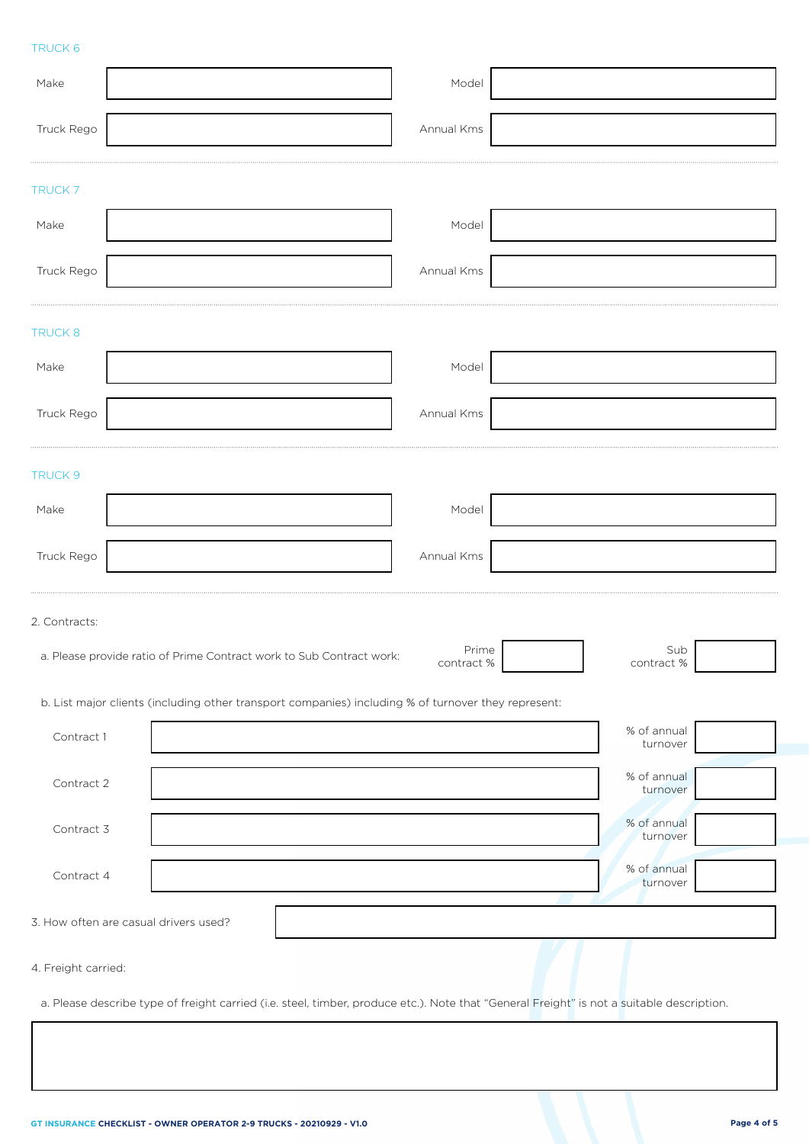# TRUCK 6

| Make                                                                                                                                      | Model               |                         |
|-------------------------------------------------------------------------------------------------------------------------------------------|---------------------|-------------------------|
| Truck Rego                                                                                                                                | Annual Kms          |                         |
| <b>TRUCK7</b>                                                                                                                             |                     |                         |
| Make                                                                                                                                      | Model               |                         |
| Truck Rego                                                                                                                                | Annual Kms          |                         |
| TRUCK 8                                                                                                                                   |                     |                         |
| Make                                                                                                                                      | Model               |                         |
| Truck Rego                                                                                                                                | Annual Kms          |                         |
| TRUCK 9                                                                                                                                   |                     |                         |
| Make                                                                                                                                      | Model               |                         |
| Truck Rego                                                                                                                                | Annual Kms          |                         |
| 2. Contracts:                                                                                                                             |                     |                         |
| a. Please provide ratio of Prime Contract work to Sub Contract work:                                                                      | Prime<br>contract % | Sub<br>contract%        |
| b. List major clients (including other transport companies) including % of turnover they represent:                                       |                     |                         |
| Contract 1                                                                                                                                |                     | % of annual<br>turnover |
| Contract 2                                                                                                                                |                     | % of annual<br>turnover |
| Contract 3                                                                                                                                |                     | % of annual<br>turnover |
| Contract 4                                                                                                                                |                     | % of annual<br>turnover |
| 3. How often are casual drivers used?                                                                                                     |                     |                         |
| 4. Freight carried:                                                                                                                       |                     |                         |
| a. Please describe type of freight carried (i.e. steel, timber, produce etc.). Note that "General Freight" is not a suitable description. |                     |                         |
|                                                                                                                                           |                     |                         |